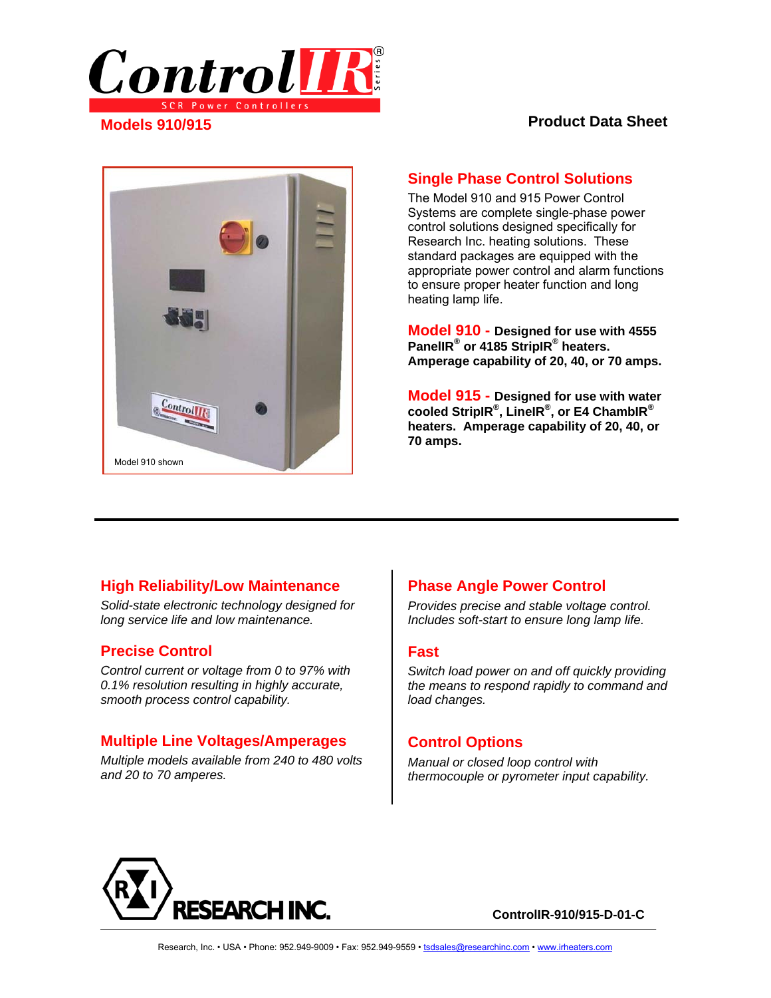

#### **Product Data Sheet**



### **Single Phase Control Solutions**

The Model 910 and 915 Power Control Systems are complete single-phase power control solutions designed specifically for Research Inc. heating solutions. These standard packages are equipped with the appropriate power control and alarm functions to ensure proper heater function and long heating lamp life.

**Model 910 - Designed for use with 4555 PanelIR® or 4185 StripIR® heaters. Amperage capability of 20, 40, or 70 amps.**

**Model 915 - Designed for use with water cooled StripIR® , LineIR® , or E4 ChambIR® heaters. Amperage capability of 20, 40, or 70 amps.**

### **High Reliability/Low Maintenance**

*Solid-state electronic technology designed for long service life and low maintenance.* 

### **Precise Control**

*Control current or voltage from 0 to 97% with 0.1% resolution resulting in highly accurate, smooth process control capability.* 

### **Multiple Line Voltages/Amperages**

*Multiple models available from 240 to 480 volts and 20 to 70 amperes.* 

## **Phase Angle Power Control**

*Provides precise and stable voltage control. Includes soft-start to ensure long lamp life.* 

#### **Fast**

*Switch load power on and off quickly providing the means to respond rapidly to command and load changes.*

#### **Control Options**

*Manual or closed loop control with thermocouple or pyrometer input capability.* 

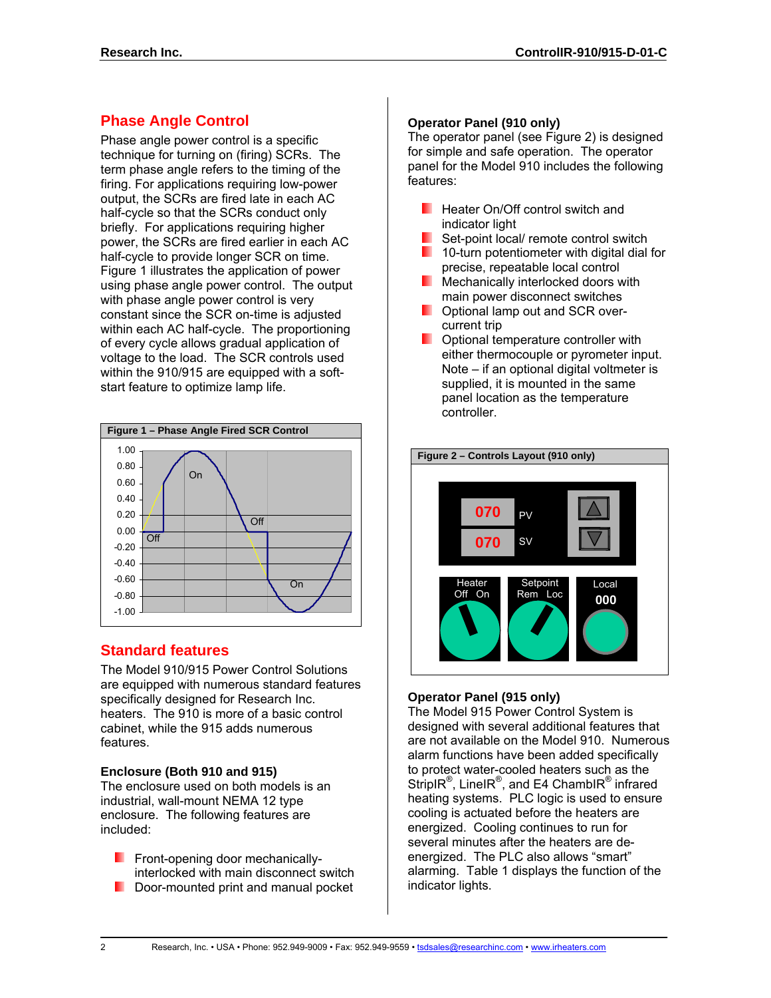# **Phase Angle Control**

Phase angle power control is a specific technique for turning on (firing) SCRs. The term phase angle refers to the timing of the firing. For applications requiring low-power output, the SCRs are fired late in each AC half-cycle so that the SCRs conduct only briefly. For applications requiring higher power, the SCRs are fired earlier in each AC half-cycle to provide longer SCR on time. Figure 1 illustrates the application of power using phase angle power control. The output with phase angle power control is very constant since the SCR on-time is adjusted within each AC half-cycle. The proportioning of every cycle allows gradual application of voltage to the load. The SCR controls used within the 910/915 are equipped with a softstart feature to optimize lamp life.



## **Standard features**

The Model 910/915 Power Control Solutions are equipped with numerous standard features specifically designed for Research Inc. heaters. The 910 is more of a basic control cabinet, while the 915 adds numerous features.

## **Enclosure (Both 910 and 915)**

The enclosure used on both models is an industrial, wall-mount NEMA 12 type enclosure. The following features are included:

**Figure 1.5 Front-opening door mechanically**interlocked with main disconnect switch Door-mounted print and manual pocket

### **Operator Panel (910 only)**

The operator panel (see Figure 2) is designed for simple and safe operation. The operator panel for the Model 910 includes the following features:

- **Heater On/Off control switch and** indicator light
- $\blacksquare$  Set-point local/ remote control switch
- $\blacksquare$  10-turn potentiometer with digital dial for precise, repeatable local control
- **Mechanically interlocked doors with** main power disconnect switches
- **D** Optional lamp out and SCR overcurrent trip
- **D** Optional temperature controller with either thermocouple or pyrometer input. Note – if an optional digital voltmeter is supplied, it is mounted in the same panel location as the temperature controller.



## **Operator Panel (915 only)**

The Model 915 Power Control System is designed with several additional features that are not available on the Model 910. Numerous alarm functions have been added specifically to protect water-cooled heaters such as the StripIR<sup>®</sup>, LineIR<sup>®</sup>, and E4 ChambIR<sup>®</sup> infrared heating systems. PLC logic is used to ensure cooling is actuated before the heaters are energized. Cooling continues to run for several minutes after the heaters are deenergized. The PLC also allows "smart" alarming. Table 1 displays the function of the indicator lights.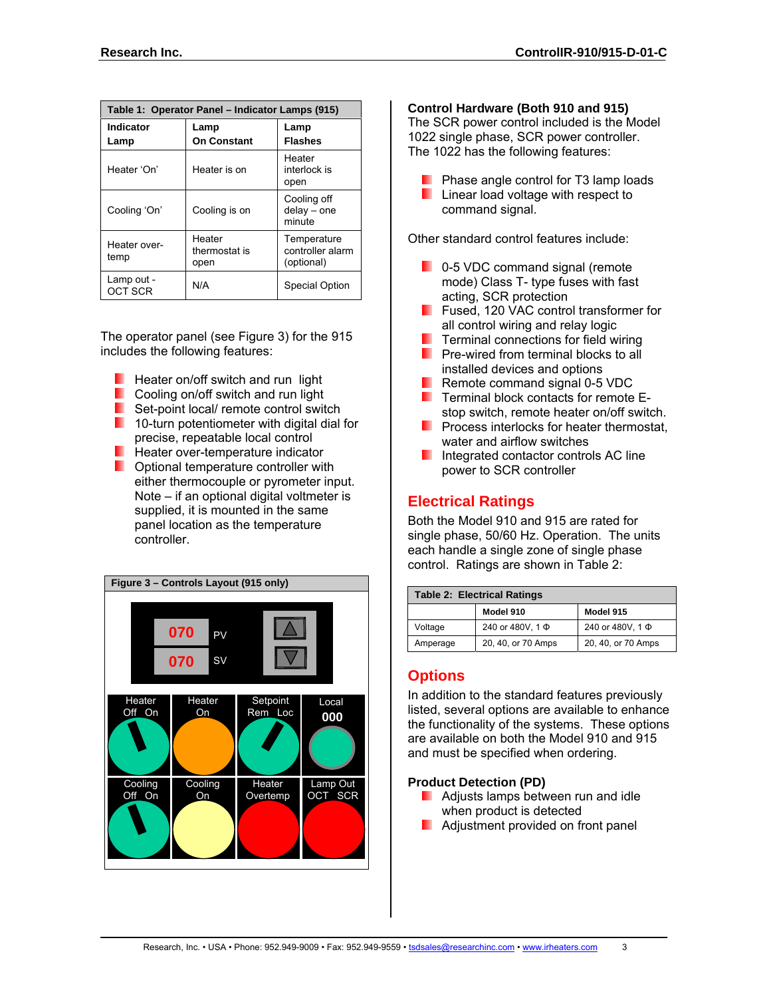| Table 1: Operator Panel - Indicator Lamps (915) |                                 |                                               |  |  |
|-------------------------------------------------|---------------------------------|-----------------------------------------------|--|--|
| Indicator<br>Lamp                               | Lamp<br><b>On Constant</b>      | Lamp<br><b>Flashes</b>                        |  |  |
| Heater 'On'                                     | Heater is on                    | Heater<br>interlock is<br>open                |  |  |
| Cooling 'On'                                    | Cooling is on                   | Cooling off<br>$delay - one$<br>minute        |  |  |
| Heater over-<br>temp                            | Heater<br>thermostat is<br>open | Temperature<br>controller alarm<br>(optional) |  |  |
| Lamp out -<br><b>OCT SCR</b>                    | N/A                             | Special Option                                |  |  |

The operator panel (see Figure 3) for the 915 includes the following features:

- $\blacksquare$  Heater on/off switch and run light
- **Cooling on/off switch and run light**
- Set-point local/ remote control switch
- $\blacksquare$  10-turn potentiometer with digital dial for precise, repeatable local control
- $\blacksquare$  Heater over-temperature indicator
- **D** Optional temperature controller with either thermocouple or pyrometer input. Note – if an optional digital voltmeter is supplied, it is mounted in the same panel location as the temperature controller.



#### **Control Hardware (Both 910 and 915)**

The SCR power control included is the Model 1022 single phase, SCR power controller. The 1022 has the following features:

- **Phase angle control for T3 lamp loads Linear load voltage with respect to**
- command signal.

Other standard control features include:

- **D** 0-5 VDC command signal (remote mode) Class T- type fuses with fast acting, SCR protection
- **Fused, 120 VAC control transformer for** all control wiring and relay logic
- $\blacksquare$  Terminal connections for field wiring
- **Pre-wired from terminal blocks to all** installed devices and options
- **Remote command signal 0-5 VDC**
- $\blacksquare$  Terminal block contacts for remote Estop switch, remote heater on/off switch.
- **Process interlocks for heater thermostat,** water and airflow switches
- **Integrated contactor controls AC line** power to SCR controller

## **Electrical Ratings**

Both the Model 910 and 915 are rated for single phase, 50/60 Hz. Operation. The units each handle a single zone of single phase control. Ratings are shown in Table 2:

| <b>Table 2: Electrical Ratings</b> |                       |                       |  |  |
|------------------------------------|-----------------------|-----------------------|--|--|
|                                    | Model 910             | Model 915             |  |  |
| Voltage                            | 240 or 480V, 1 $\Phi$ | 240 or 480V, 1 $\Phi$ |  |  |
| Amperage                           | 20, 40, or 70 Amps    | 20, 40, or 70 Amps    |  |  |

## **Options**

In addition to the standard features previously listed, several options are available to enhance the functionality of the systems. These options are available on both the Model 910 and 915 and must be specified when ordering.

#### **Product Detection (PD)**

- **Adjusts lamps between run and idle** when product is detected
- **Adjustment provided on front panel**